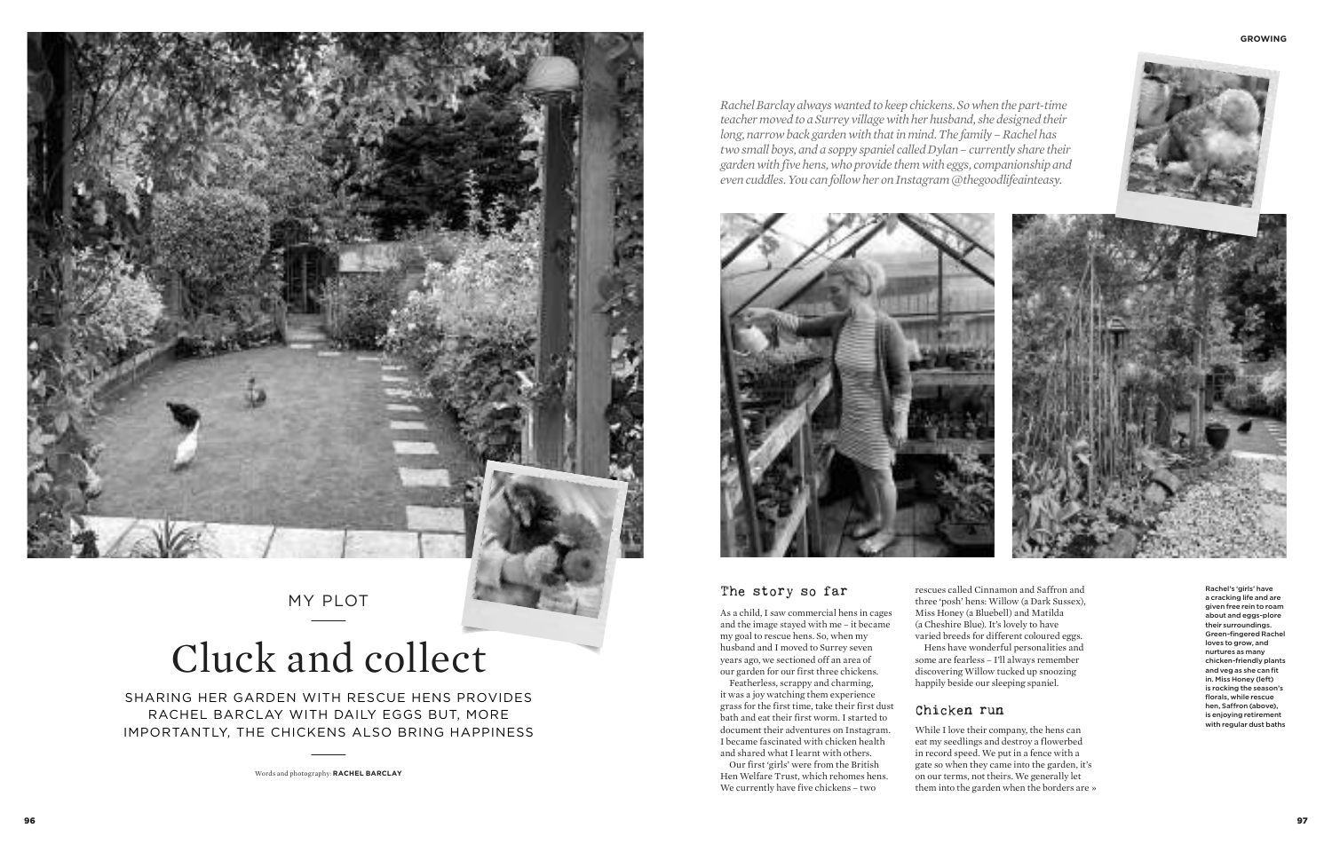MY PLOT

### Chicken run

### The story so far

As a child, I saw commercial hens in cages and the image stayed with me – it became my goal to rescue hens. So, when my husband and I moved to Surrey seven years ago, we sectioned off an area of our garden for our first three chickens.

Featherless, scrappy and charming, it was a joy watching them experience grass for the first time, take their first dust bath and eat their first worm. I started to document their adventures on Instagram. I became fascinated with chicken health and shared what I learnt with others.

Our first 'girls' were from the British Hen Welfare Trust, which rehomes hens. We currently have five chickens – two



While I love their company, the hens can eat my seedlings and destroy a flowerbed in record speed. We put in a fence with a gate so when they came into the garden, it's on our terms, not theirs. We generally let them into the garden when the borders are »

*Rachel Barclay always wanted to keep chickens. So when the part-time teacher moved to a Surrey village with her husband, she designed their long, narrow back garden with that in mind. The family – Rachel has two small boys, and a soppy spaniel called Dylan – currently share their garden with five hens, who provide them with eggs, companionship and even cuddles. You can follow her on Instagram @thegoodlifeainteasy.*



SHARING HER GARDEN WITH RESCUE HENS PROVIDES RACHEL BARCLAY WITH DAILY EGGS BUT, MORE IMPORTANTLY, THE CHICKENS ALSO BRING HAPPINESS

# Cluck and collect

Words and photography: **RACHEL BARCLAY**

rescues called Cinnamon and Saffron and three 'posh' hens: Willow (a Dark Sussex), Miss Honey (a Bluebell) and Matilda (a Cheshire Blue). It's lovely to have varied breeds for different coloured eggs. Hens have wonderful personalities and some are fearless – I'll always remember discovering Willow tucked up snoozing happily beside our sleeping spaniel.

Rachel's 'girls' have a cracking life and are given free rein to roam about and eggs-plore their surroundings. Green-fingered Rachel loves to grow, and nurtures as many chicken-friendly plants and veg as she can fit in. Miss Honey (left) is rocking the season's florals, while rescue hen, Saffron (above), is enjoying retirement with regular dust baths